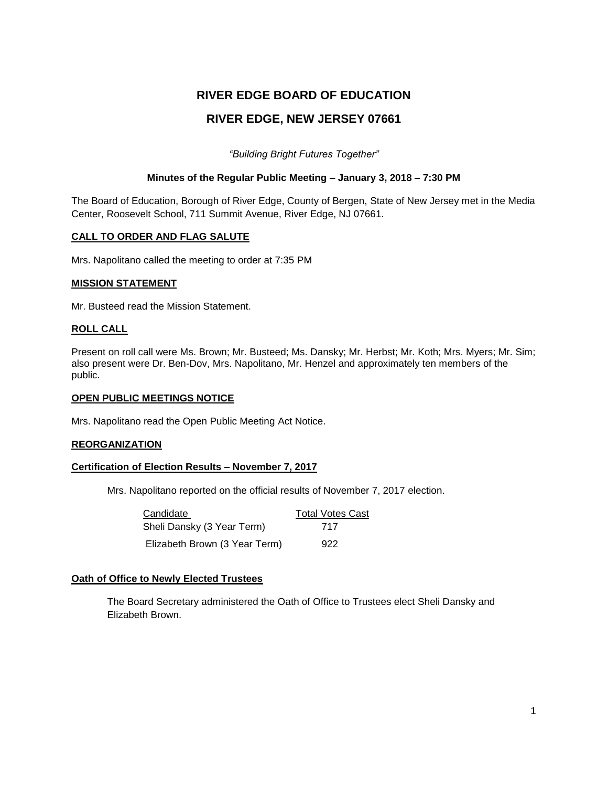# **RIVER EDGE BOARD OF EDUCATION RIVER EDGE, NEW JERSEY 07661**

*"Building Bright Futures Together"*

#### **Minutes of the Regular Public Meeting – January 3, 2018 – 7:30 PM**

The Board of Education, Borough of River Edge, County of Bergen, State of New Jersey met in the Media Center, Roosevelt School, 711 Summit Avenue, River Edge, NJ 07661.

#### **CALL TO ORDER AND FLAG SALUTE**

Mrs. Napolitano called the meeting to order at 7:35 PM

#### **MISSION STATEMENT**

Mr. Busteed read the Mission Statement.

#### **ROLL CALL**

Present on roll call were Ms. Brown; Mr. Busteed; Ms. Dansky; Mr. Herbst; Mr. Koth; Mrs. Myers; Mr. Sim; also present were Dr. Ben-Dov, Mrs. Napolitano, Mr. Henzel and approximately ten members of the public.

#### **OPEN PUBLIC MEETINGS NOTICE**

Mrs. Napolitano read the Open Public Meeting Act Notice.

#### **REORGANIZATION**

#### **Certification of Election Results – November 7, 2017**

Mrs. Napolitano reported on the official results of November 7, 2017 election.

| Candidate                     | <b>Total Votes Cast</b> |
|-------------------------------|-------------------------|
| Sheli Dansky (3 Year Term)    | 717                     |
| Elizabeth Brown (3 Year Term) | 922                     |

#### **Oath of Office to Newly Elected Trustees**

The Board Secretary administered the Oath of Office to Trustees elect Sheli Dansky and Elizabeth Brown.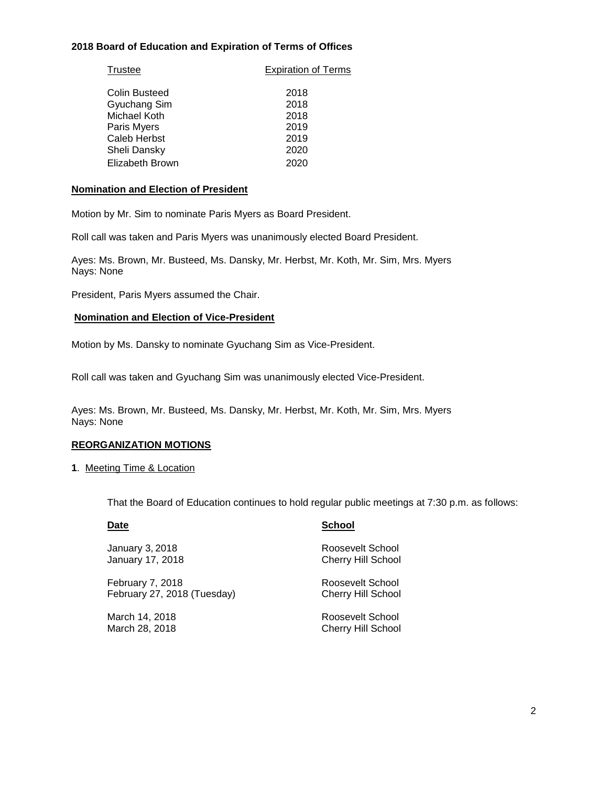#### **2018 Board of Education and Expiration of Terms of Offices**

| Trustee         | <b>Expiration of Terms</b> |
|-----------------|----------------------------|
| Colin Busteed   | 2018                       |
| Gyuchang Sim    | 2018                       |
| Michael Koth    | 2018                       |
| Paris Myers     | 2019                       |
| Caleb Herbst    | 2019                       |
| Sheli Dansky    | 2020                       |
| Elizabeth Brown | 2020                       |

#### **Nomination and Election of President**

Motion by Mr. Sim to nominate Paris Myers as Board President.

Roll call was taken and Paris Myers was unanimously elected Board President.

Ayes: Ms. Brown, Mr. Busteed, Ms. Dansky, Mr. Herbst, Mr. Koth, Mr. Sim, Mrs. Myers Nays: None

President, Paris Myers assumed the Chair.

#### **Nomination and Election of Vice-President**

Motion by Ms. Dansky to nominate Gyuchang Sim as Vice-President.

Roll call was taken and Gyuchang Sim was unanimously elected Vice-President.

Ayes: Ms. Brown, Mr. Busteed, Ms. Dansky, Mr. Herbst, Mr. Koth, Mr. Sim, Mrs. Myers Nays: None

#### **REORGANIZATION MOTIONS**

**1**. Meeting Time & Location

That the Board of Education continues to hold regular public meetings at 7:30 p.m. as follows:

January 3, 2018 **Roosevelt School** 

February 7, 2018 **Roosevelt School** February 27, 2018 (Tuesday) Cherry Hill School

#### **Date School**

January 17, 2018 **Cherry Hill School** 

March 14, 2018 **Roosevelt School** March 28, 2018 Cherry Hill School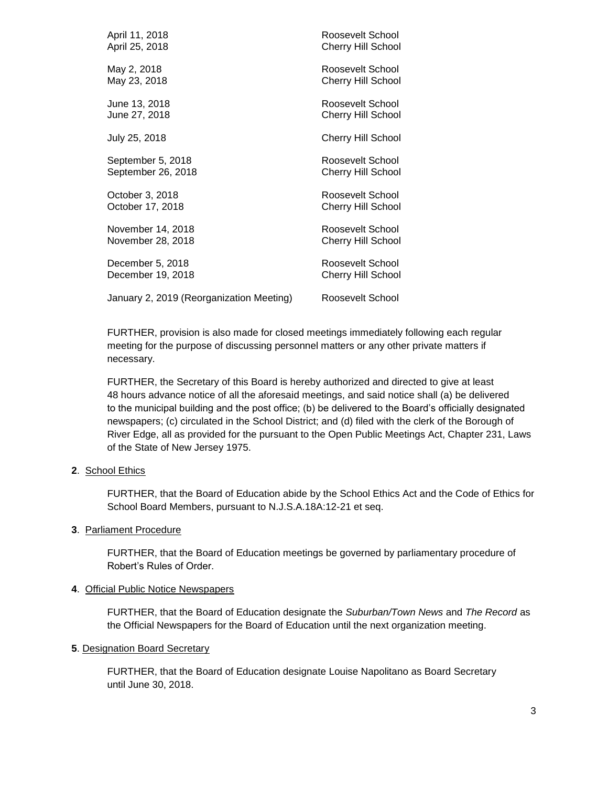| April 11, 2018                           | Roosevelt School          |
|------------------------------------------|---------------------------|
| April 25, 2018                           | <b>Cherry Hill School</b> |
| May 2, 2018                              | Roosevelt School          |
| May 23, 2018                             | <b>Cherry Hill School</b> |
| June 13, 2018                            | Roosevelt School          |
| June 27, 2018                            | Cherry Hill School        |
| July 25, 2018                            | Cherry Hill School        |
| September 5, 2018                        | Roosevelt School          |
| September 26, 2018                       | <b>Cherry Hill School</b> |
| October 3, 2018                          | Roosevelt School          |
| October 17, 2018                         | <b>Cherry Hill School</b> |
| November 14, 2018                        | Roosevelt School          |
| November 28, 2018                        | <b>Cherry Hill School</b> |
| December 5, 2018                         | Roosevelt School          |
| December 19, 2018                        | Cherry Hill School        |
| January 2, 2019 (Reorganization Meeting) | Roosevelt School          |

FURTHER, provision is also made for closed meetings immediately following each regular meeting for the purpose of discussing personnel matters or any other private matters if necessary.

FURTHER, the Secretary of this Board is hereby authorized and directed to give at least 48 hours advance notice of all the aforesaid meetings, and said notice shall (a) be delivered to the municipal building and the post office; (b) be delivered to the Board's officially designated newspapers; (c) circulated in the School District; and (d) filed with the clerk of the Borough of River Edge, all as provided for the pursuant to the Open Public Meetings Act, Chapter 231, Laws of the State of New Jersey 1975.

#### **2**. School Ethics

FURTHER, that the Board of Education abide by the School Ethics Act and the Code of Ethics for School Board Members, pursuant to N.J.S.A.18A:12-21 et seq.

#### **3**. Parliament Procedure

FURTHER, that the Board of Education meetings be governed by parliamentary procedure of Robert's Rules of Order.

#### **4**. Official Public Notice Newspapers

FURTHER, that the Board of Education designate the *Suburban/Town News* and *The Record* as the Official Newspapers for the Board of Education until the next organization meeting.

#### **5**. Designation Board Secretary

FURTHER, that the Board of Education designate Louise Napolitano as Board Secretary until June 30, 2018.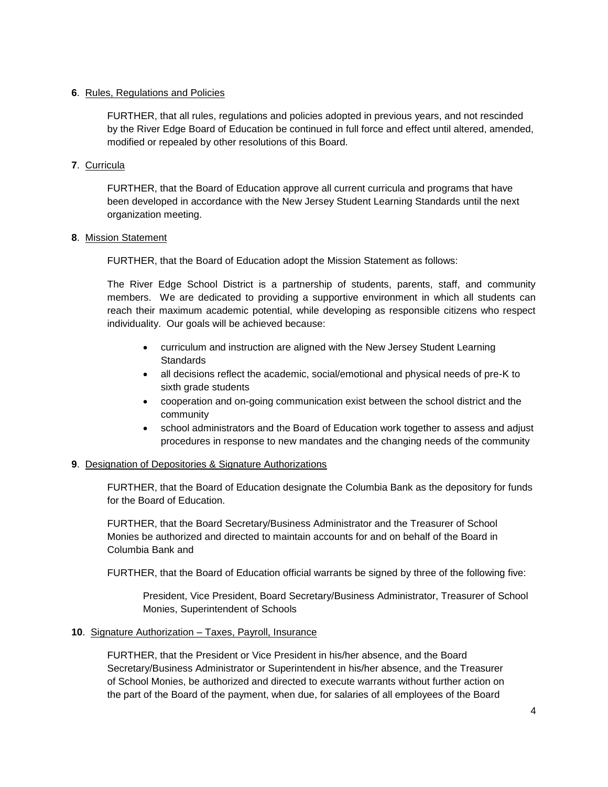#### **6**. Rules, Regulations and Policies

FURTHER, that all rules, regulations and policies adopted in previous years, and not rescinded by the River Edge Board of Education be continued in full force and effect until altered, amended, modified or repealed by other resolutions of this Board.

#### **7**. Curricula

FURTHER, that the Board of Education approve all current curricula and programs that have been developed in accordance with the New Jersey Student Learning Standards until the next organization meeting.

#### **8**. Mission Statement

FURTHER, that the Board of Education adopt the Mission Statement as follows:

The River Edge School District is a partnership of students, parents, staff, and community members. We are dedicated to providing a supportive environment in which all students can reach their maximum academic potential, while developing as responsible citizens who respect individuality. Our goals will be achieved because:

- curriculum and instruction are aligned with the New Jersey Student Learning **Standards**
- all decisions reflect the academic, social/emotional and physical needs of pre-K to sixth grade students
- cooperation and on-going communication exist between the school district and the community
- school administrators and the Board of Education work together to assess and adjust procedures in response to new mandates and the changing needs of the community

#### **9**. Designation of Depositories & Signature Authorizations

FURTHER, that the Board of Education designate the Columbia Bank as the depository for funds for the Board of Education.

FURTHER, that the Board Secretary/Business Administrator and the Treasurer of School Monies be authorized and directed to maintain accounts for and on behalf of the Board in Columbia Bank and

FURTHER, that the Board of Education official warrants be signed by three of the following five:

President, Vice President, Board Secretary/Business Administrator, Treasurer of School Monies, Superintendent of Schools

#### **10**. Signature Authorization – Taxes, Payroll, Insurance

FURTHER, that the President or Vice President in his/her absence, and the Board Secretary/Business Administrator or Superintendent in his/her absence, and the Treasurer of School Monies, be authorized and directed to execute warrants without further action on the part of the Board of the payment, when due, for salaries of all employees of the Board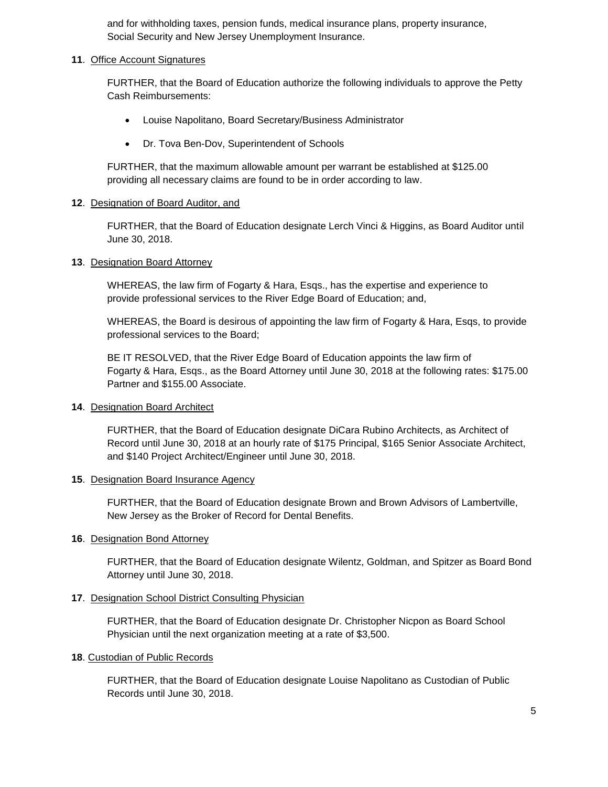and for withholding taxes, pension funds, medical insurance plans, property insurance, Social Security and New Jersey Unemployment Insurance.

#### **11**. Office Account Signatures

FURTHER, that the Board of Education authorize the following individuals to approve the Petty Cash Reimbursements:

- Louise Napolitano, Board Secretary/Business Administrator
- Dr. Tova Ben-Dov, Superintendent of Schools

FURTHER, that the maximum allowable amount per warrant be established at \$125.00 providing all necessary claims are found to be in order according to law.

#### **12**. Designation of Board Auditor, and

FURTHER, that the Board of Education designate Lerch Vinci & Higgins, as Board Auditor until June 30, 2018.

#### **13**. Designation Board Attorney

WHEREAS, the law firm of Fogarty & Hara, Esqs., has the expertise and experience to provide professional services to the River Edge Board of Education; and,

WHEREAS, the Board is desirous of appointing the law firm of Fogarty & Hara, Esqs, to provide professional services to the Board;

BE IT RESOLVED, that the River Edge Board of Education appoints the law firm of Fogarty & Hara, Esqs., as the Board Attorney until June 30, 2018 at the following rates: \$175.00 Partner and \$155.00 Associate.

#### **14**. Designation Board Architect

FURTHER, that the Board of Education designate DiCara Rubino Architects, as Architect of Record until June 30, 2018 at an hourly rate of \$175 Principal, \$165 Senior Associate Architect, and \$140 Project Architect/Engineer until June 30, 2018.

#### **15**. Designation Board Insurance Agency

FURTHER, that the Board of Education designate Brown and Brown Advisors of Lambertville, New Jersey as the Broker of Record for Dental Benefits.

#### **16**. Designation Bond Attorney

FURTHER, that the Board of Education designate Wilentz, Goldman, and Spitzer as Board Bond Attorney until June 30, 2018.

#### **17**. Designation School District Consulting Physician

FURTHER, that the Board of Education designate Dr. Christopher Nicpon as Board School Physician until the next organization meeting at a rate of \$3,500.

#### **18**. Custodian of Public Records

FURTHER, that the Board of Education designate Louise Napolitano as Custodian of Public Records until June 30, 2018.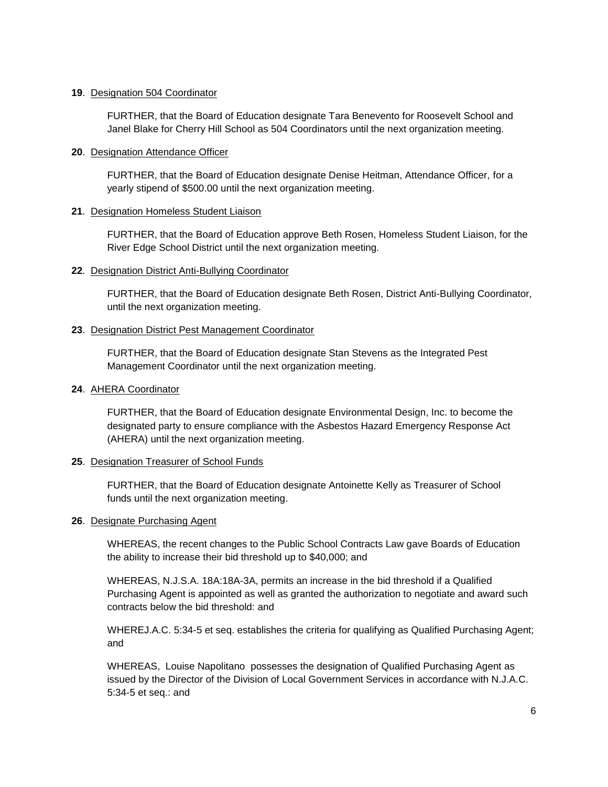#### **19**. Designation 504 Coordinator

FURTHER, that the Board of Education designate Tara Benevento for Roosevelt School and Janel Blake for Cherry Hill School as 504 Coordinators until the next organization meeting.

#### **20**. Designation Attendance Officer

FURTHER, that the Board of Education designate Denise Heitman, Attendance Officer, for a yearly stipend of \$500.00 until the next organization meeting.

#### **21**. Designation Homeless Student Liaison

FURTHER, that the Board of Education approve Beth Rosen, Homeless Student Liaison, for the River Edge School District until the next organization meeting.

#### **22**. Designation District Anti-Bullying Coordinator

FURTHER, that the Board of Education designate Beth Rosen, District Anti-Bullying Coordinator, until the next organization meeting.

#### **23**. Designation District Pest Management Coordinator

FURTHER, that the Board of Education designate Stan Stevens as the Integrated Pest Management Coordinator until the next organization meeting.

#### **24**. AHERA Coordinator

FURTHER, that the Board of Education designate Environmental Design, Inc. to become the designated party to ensure compliance with the Asbestos Hazard Emergency Response Act (AHERA) until the next organization meeting.

#### **25**. Designation Treasurer of School Funds

FURTHER, that the Board of Education designate Antoinette Kelly as Treasurer of School funds until the next organization meeting.

#### **26**. Designate Purchasing Agent

WHEREAS, the recent changes to the Public School Contracts Law gave Boards of Education the ability to increase their bid threshold up to \$40,000; and

WHEREAS, N.J.S.A. 18A:18A-3A, permits an increase in the bid threshold if a Qualified Purchasing Agent is appointed as well as granted the authorization to negotiate and award such contracts below the bid threshold: and

WHEREJ.A.C. 5:34-5 et seq. establishes the criteria for qualifying as Qualified Purchasing Agent; and

WHEREAS, Louise Napolitano possesses the designation of Qualified Purchasing Agent as issued by the Director of the Division of Local Government Services in accordance with N.J.A.C. 5:34-5 et seq.: and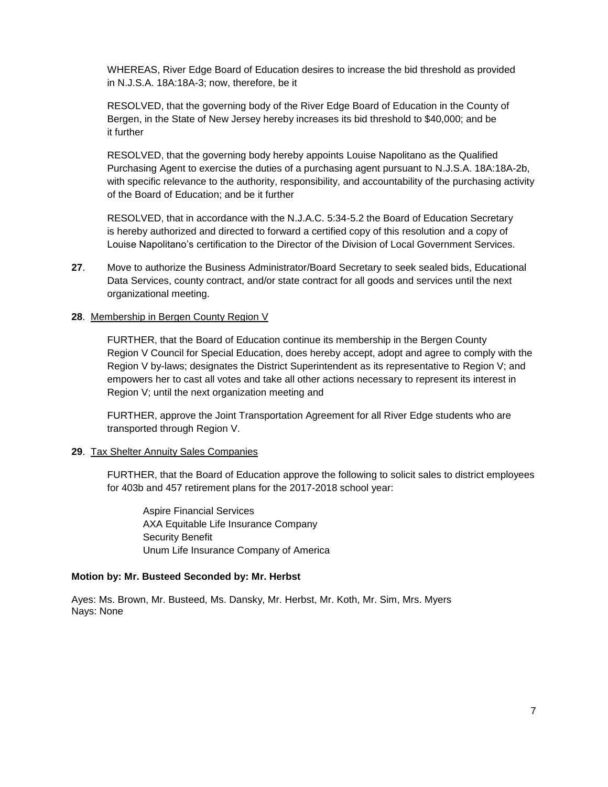WHEREAS, River Edge Board of Education desires to increase the bid threshold as provided in N.J.S.A. 18A:18A-3; now, therefore, be it

RESOLVED, that the governing body of the River Edge Board of Education in the County of Bergen, in the State of New Jersey hereby increases its bid threshold to \$40,000; and be it further

RESOLVED, that the governing body hereby appoints Louise Napolitano as the Qualified Purchasing Agent to exercise the duties of a purchasing agent pursuant to N.J.S.A. 18A:18A-2b, with specific relevance to the authority, responsibility, and accountability of the purchasing activity of the Board of Education; and be it further

RESOLVED, that in accordance with the N.J.A.C. 5:34-5.2 the Board of Education Secretary is hereby authorized and directed to forward a certified copy of this resolution and a copy of Louise Napolitano's certification to the Director of the Division of Local Government Services.

**27**. Move to authorize the Business Administrator/Board Secretary to seek sealed bids, Educational Data Services, county contract, and/or state contract for all goods and services until the next organizational meeting.

#### **28**. Membership in Bergen County Region V

FURTHER, that the Board of Education continue its membership in the Bergen County Region V Council for Special Education, does hereby accept, adopt and agree to comply with the Region V by-laws; designates the District Superintendent as its representative to Region V; and empowers her to cast all votes and take all other actions necessary to represent its interest in Region V; until the next organization meeting and

FURTHER, approve the Joint Transportation Agreement for all River Edge students who are transported through Region V.

#### **29**. Tax Shelter Annuity Sales Companies

FURTHER, that the Board of Education approve the following to solicit sales to district employees for 403b and 457 retirement plans for the 2017-2018 school year:

Aspire Financial Services AXA Equitable Life Insurance Company Security Benefit Unum Life Insurance Company of America

#### **Motion by: Mr. Busteed Seconded by: Mr. Herbst**

Ayes: Ms. Brown, Mr. Busteed, Ms. Dansky, Mr. Herbst, Mr. Koth, Mr. Sim, Mrs. Myers Nays: None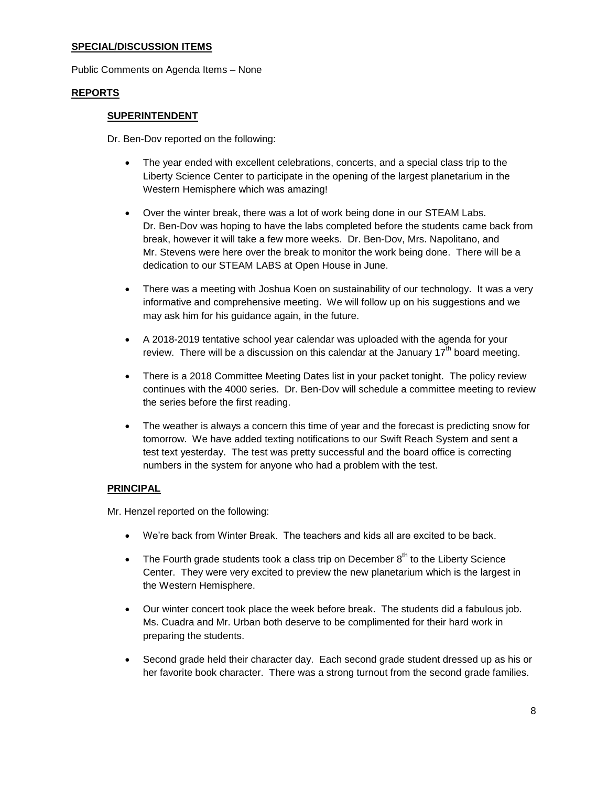#### **SPECIAL/DISCUSSION ITEMS**

Public Comments on Agenda Items – None

#### **REPORTS**

#### **SUPERINTENDENT**

Dr. Ben-Dov reported on the following:

- The year ended with excellent celebrations, concerts, and a special class trip to the Liberty Science Center to participate in the opening of the largest planetarium in the Western Hemisphere which was amazing!
- Over the winter break, there was a lot of work being done in our STEAM Labs. Dr. Ben-Dov was hoping to have the labs completed before the students came back from break, however it will take a few more weeks. Dr. Ben-Dov, Mrs. Napolitano, and Mr. Stevens were here over the break to monitor the work being done. There will be a dedication to our STEAM LABS at Open House in June.
- There was a meeting with Joshua Koen on sustainability of our technology. It was a very informative and comprehensive meeting. We will follow up on his suggestions and we may ask him for his guidance again, in the future.
- A 2018-2019 tentative school year calendar was uploaded with the agenda for your review. There will be a discussion on this calendar at the January  $17<sup>th</sup>$  board meeting.
- There is a 2018 Committee Meeting Dates list in your packet tonight. The policy review continues with the 4000 series. Dr. Ben-Dov will schedule a committee meeting to review the series before the first reading.
- The weather is always a concern this time of year and the forecast is predicting snow for tomorrow. We have added texting notifications to our Swift Reach System and sent a test text yesterday. The test was pretty successful and the board office is correcting numbers in the system for anyone who had a problem with the test.

#### **PRINCIPAL**

Mr. Henzel reported on the following:

- We're back from Winter Break. The teachers and kids all are excited to be back.
- The Fourth grade students took a class trip on December  $8<sup>th</sup>$  to the Liberty Science Center. They were very excited to preview the new planetarium which is the largest in the Western Hemisphere.
- Our winter concert took place the week before break. The students did a fabulous job. Ms. Cuadra and Mr. Urban both deserve to be complimented for their hard work in preparing the students.
- Second grade held their character day. Each second grade student dressed up as his or her favorite book character. There was a strong turnout from the second grade families.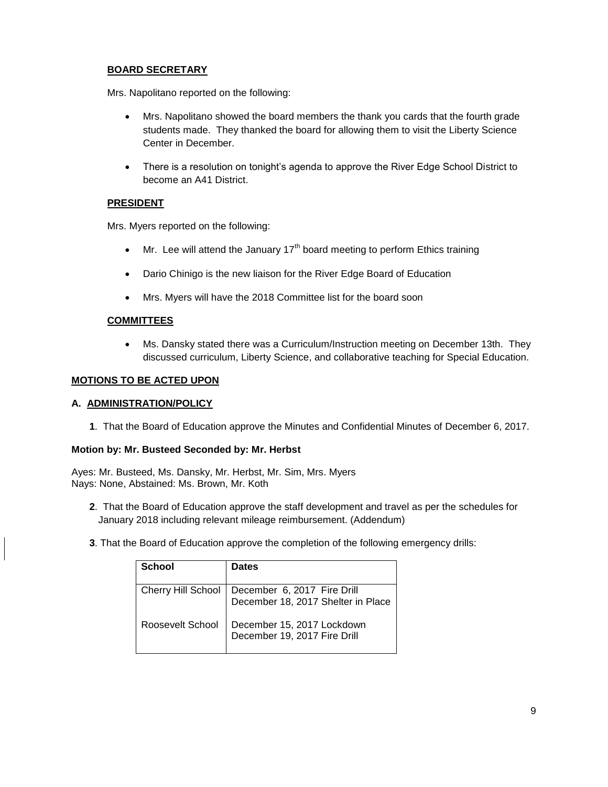### **BOARD SECRETARY**

Mrs. Napolitano reported on the following:

- Mrs. Napolitano showed the board members the thank you cards that the fourth grade students made. They thanked the board for allowing them to visit the Liberty Science Center in December.
- There is a resolution on tonight's agenda to approve the River Edge School District to become an A41 District.

#### **PRESIDENT**

Mrs. Myers reported on the following:

- $\bullet$  Mr. Lee will attend the January 17<sup>th</sup> board meeting to perform Ethics training
- Dario Chinigo is the new liaison for the River Edge Board of Education
- Mrs. Myers will have the 2018 Committee list for the board soon

#### **COMMITTEES**

 Ms. Dansky stated there was a Curriculum/Instruction meeting on December 13th. They discussed curriculum, Liberty Science, and collaborative teaching for Special Education.

#### **MOTIONS TO BE ACTED UPON**

#### **A. ADMINISTRATION/POLICY**

**1**. That the Board of Education approve the Minutes and Confidential Minutes of December 6, 2017.

#### **Motion by: Mr. Busteed Seconded by: Mr. Herbst**

Ayes: Mr. Busteed, Ms. Dansky, Mr. Herbst, Mr. Sim, Mrs. Myers Nays: None, Abstained: Ms. Brown, Mr. Koth

- **2**. That the Board of Education approve the staff development and travel as per the schedules for January 2018 including relevant mileage reimbursement. (Addendum)
- **3**. That the Board of Education approve the completion of the following emergency drills:

| School                    | <b>Dates</b>                                                      |
|---------------------------|-------------------------------------------------------------------|
| <b>Cherry Hill School</b> | December 6, 2017 Fire Drill<br>December 18, 2017 Shelter in Place |
| Roosevelt School          | December 15, 2017 Lockdown<br>December 19, 2017 Fire Drill        |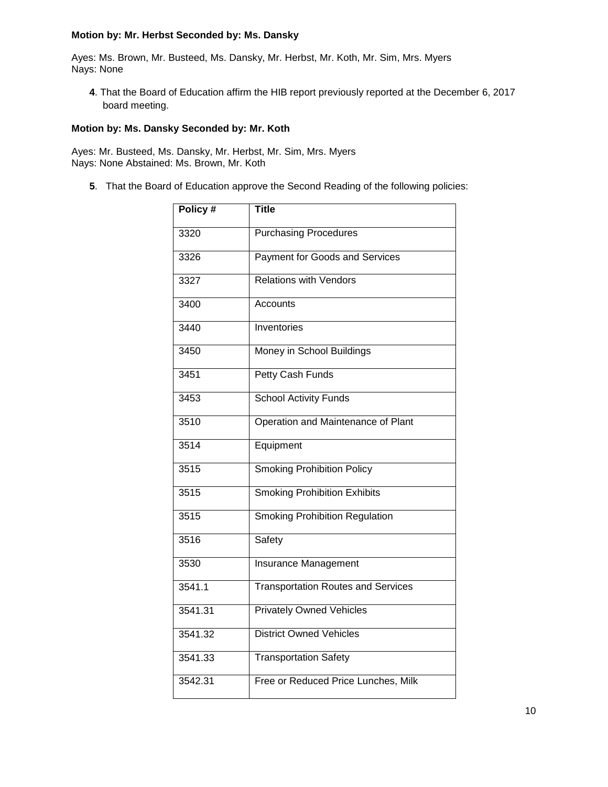#### **Motion by: Mr. Herbst Seconded by: Ms. Dansky**

Ayes: Ms. Brown, Mr. Busteed, Ms. Dansky, Mr. Herbst, Mr. Koth, Mr. Sim, Mrs. Myers Nays: None

**4**. That the Board of Education affirm the HIB report previously reported at the December 6, 2017 board meeting.

#### **Motion by: Ms. Dansky Seconded by: Mr. Koth**

Ayes: Mr. Busteed, Ms. Dansky, Mr. Herbst, Mr. Sim, Mrs. Myers Nays: None Abstained: Ms. Brown, Mr. Koth

**5**. That the Board of Education approve the Second Reading of the following policies:

| Policy # | <b>Title</b>                              |
|----------|-------------------------------------------|
| 3320     | <b>Purchasing Procedures</b>              |
| 3326     | Payment for Goods and Services            |
| 3327     | <b>Relations with Vendors</b>             |
| 3400     | Accounts                                  |
| 3440     | Inventories                               |
| 3450     | Money in School Buildings                 |
| 3451     | Petty Cash Funds                          |
| 3453     | <b>School Activity Funds</b>              |
| 3510     | Operation and Maintenance of Plant        |
| 3514     | Equipment                                 |
| 3515     | <b>Smoking Prohibition Policy</b>         |
| 3515     | <b>Smoking Prohibition Exhibits</b>       |
| 3515     | <b>Smoking Prohibition Regulation</b>     |
| 3516     | Safety                                    |
| 3530     | <b>Insurance Management</b>               |
| 3541.1   | <b>Transportation Routes and Services</b> |
| 3541.31  | <b>Privately Owned Vehicles</b>           |
| 3541.32  | <b>District Owned Vehicles</b>            |
| 3541.33  | <b>Transportation Safety</b>              |
| 3542.31  | Free or Reduced Price Lunches, Milk       |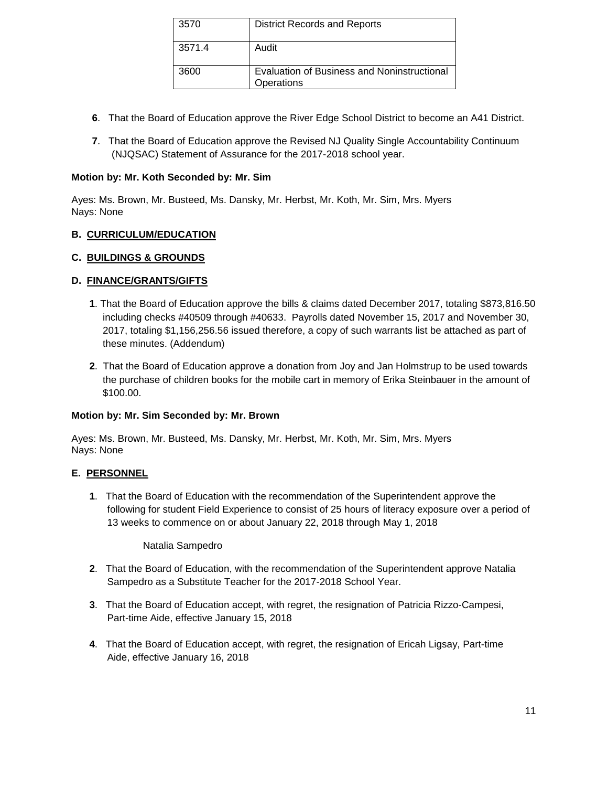| 3570   | <b>District Records and Reports</b>                       |
|--------|-----------------------------------------------------------|
| 3571.4 | Audit                                                     |
| 3600   | Evaluation of Business and Noninstructional<br>Operations |

- **6**. That the Board of Education approve the River Edge School District to become an A41 District.
- **7**. That the Board of Education approve the Revised NJ Quality Single Accountability Continuum (NJQSAC) Statement of Assurance for the 2017-2018 school year.

#### **Motion by: Mr. Koth Seconded by: Mr. Sim**

Ayes: Ms. Brown, Mr. Busteed, Ms. Dansky, Mr. Herbst, Mr. Koth, Mr. Sim, Mrs. Myers Nays: None

#### **B. CURRICULUM/EDUCATION**

#### **C. BUILDINGS & GROUNDS**

#### **D. FINANCE/GRANTS/GIFTS**

- **1**. That the Board of Education approve the bills & claims dated December 2017, totaling \$873,816.50 including checks #40509 through #40633. Payrolls dated November 15, 2017 and November 30, 2017, totaling \$1,156,256.56 issued therefore, a copy of such warrants list be attached as part of these minutes. (Addendum)
- **2**. That the Board of Education approve a donation from Joy and Jan Holmstrup to be used towards the purchase of children books for the mobile cart in memory of Erika Steinbauer in the amount of \$100.00.

#### **Motion by: Mr. Sim Seconded by: Mr. Brown**

Ayes: Ms. Brown, Mr. Busteed, Ms. Dansky, Mr. Herbst, Mr. Koth, Mr. Sim, Mrs. Myers Nays: None

#### **E. PERSONNEL**

**1**. That the Board of Education with the recommendation of the Superintendent approve the following for student Field Experience to consist of 25 hours of literacy exposure over a period of 13 weeks to commence on or about January 22, 2018 through May 1, 2018

#### Natalia Sampedro

- **2**. That the Board of Education, with the recommendation of the Superintendent approve Natalia Sampedro as a Substitute Teacher for the 2017-2018 School Year.
- **3**. That the Board of Education accept, with regret, the resignation of Patricia Rizzo-Campesi, Part-time Aide, effective January 15, 2018
- **4**. That the Board of Education accept, with regret, the resignation of Ericah Ligsay, Part-time Aide, effective January 16, 2018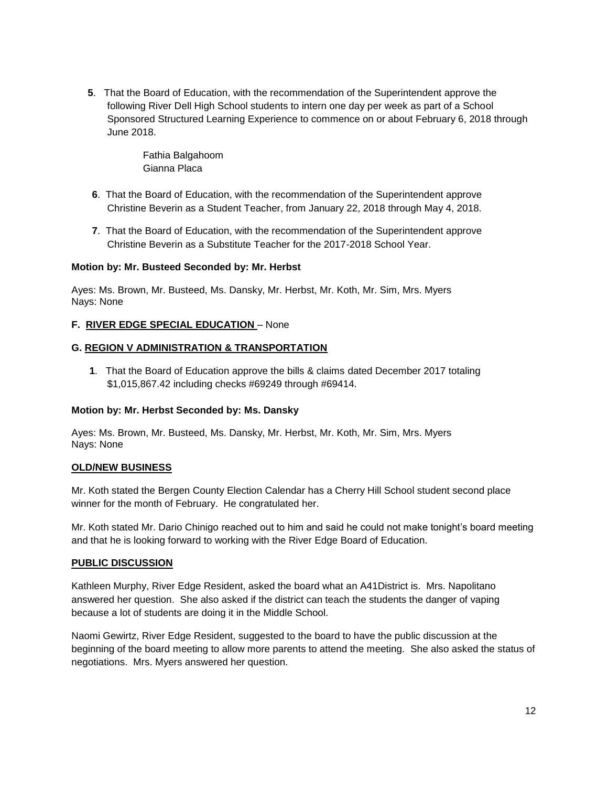**5**. That the Board of Education, with the recommendation of the Superintendent approve the following River Dell High School students to intern one day per week as part of a School Sponsored Structured Learning Experience to commence on or about February 6, 2018 through June 2018.

> Fathia Balgahoom Gianna Placa

- **6**. That the Board of Education, with the recommendation of the Superintendent approve Christine Beverin as a Student Teacher, from January 22, 2018 through May 4, 2018.
- **7**. That the Board of Education, with the recommendation of the Superintendent approve Christine Beverin as a Substitute Teacher for the 2017-2018 School Year.

#### **Motion by: Mr. Busteed Seconded by: Mr. Herbst**

Ayes: Ms. Brown, Mr. Busteed, Ms. Dansky, Mr. Herbst, Mr. Koth, Mr. Sim, Mrs. Myers Nays: None

#### **F. RIVER EDGE SPECIAL EDUCATION** – None

#### **G. REGION V ADMINISTRATION & TRANSPORTATION**

**1**. That the Board of Education approve the bills & claims dated December 2017 totaling \$1,015,867.42 including checks #69249 through #69414.

#### **Motion by: Mr. Herbst Seconded by: Ms. Dansky**

Ayes: Ms. Brown, Mr. Busteed, Ms. Dansky, Mr. Herbst, Mr. Koth, Mr. Sim, Mrs. Myers Nays: None

#### **OLD/NEW BUSINESS**

Mr. Koth stated the Bergen County Election Calendar has a Cherry Hill School student second place winner for the month of February. He congratulated her.

Mr. Koth stated Mr. Dario Chinigo reached out to him and said he could not make tonight's board meeting and that he is looking forward to working with the River Edge Board of Education.

#### **PUBLIC DISCUSSION**

Kathleen Murphy, River Edge Resident, asked the board what an A41District is. Mrs. Napolitano answered her question. She also asked if the district can teach the students the danger of vaping because a lot of students are doing it in the Middle School.

Naomi Gewirtz, River Edge Resident, suggested to the board to have the public discussion at the beginning of the board meeting to allow more parents to attend the meeting. She also asked the status of negotiations. Mrs. Myers answered her question.